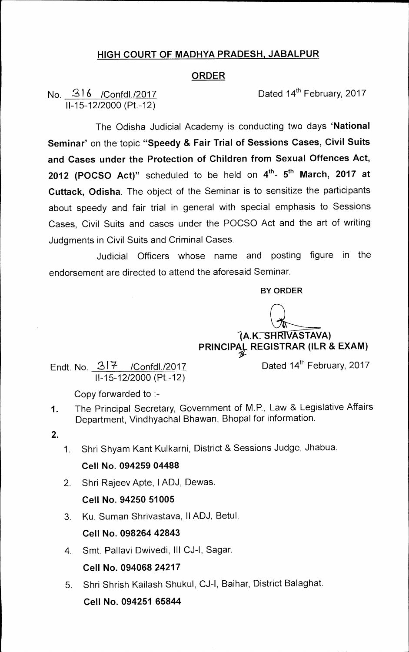### **HIGH COURT OF MADHYA PRADESH, JABALPUR**

### **ORDER**

No. 216 /Confdl./2017 Dated 14<sup>th</sup> February, 2017 11-15-12/2000 (Pt.-12)

The Odisha Judicial Academy is conducting two days **'National Seminar'** on the topic **"Speedy & Fair Trial of Sessions Cases, Civil Suits and Cases under the Protection of Children from Sexual Offences Act, 2012 (POCSO Act)**" scheduled to be held on  $4^{\text{th}}$ - 5<sup>th</sup> March, 2017 at **Cuttack, Odisha.** The object of the Seminar is to sensitize the participants about speedy and fair trial in general with special emphasis to Sessions Cases, Civil Suits and cases under the POCSO Act and the art of writing Judgments in Civil Suits and Criminal Cases.

Judicial Officers whose name and posting figure in the endorsement are directed to attend the aforesaid Seminar.

**BY ORDER** 

 $\big(A.K.\overline{\text{SHRIVASTAVA}}\big)$ **PRINCIPAL REGISTRAR (ILR & EXAM)** 

Endt. No.  $317$  /Confdl./2017 Dated 14<sup>th</sup> February, 2017 11-15-12/2000 (Pt.-12)

Copy forwarded to :-

- 1. The Principal Secretary, Government of M.P., Law & Legislative Affairs Department, Vindhyachal Bhawan, Bhopal for information.
- **2.**
- 1. Shri Shyam Kant Kulkarni, District & Sessions Judge, Jhabua.

#### **Cell No. 094259 04488**

2. Shri Rajeev Apte, 1ADJ, Dewas.

### **Cell No. 94250 51005**

3. Ku. Suman Shrivastava, 11ADJ, Betul.

### **Cell No. 098264 42843**

- 4. Smt. Pallavi Dwivedi, Ill CJ-1, Sagar. **Cell No. 094068 24217**
- 5. Shri Shrish Kailash Shukul, CJ-1, Baihar, District Balaghat. **Cell No. 094251 65844**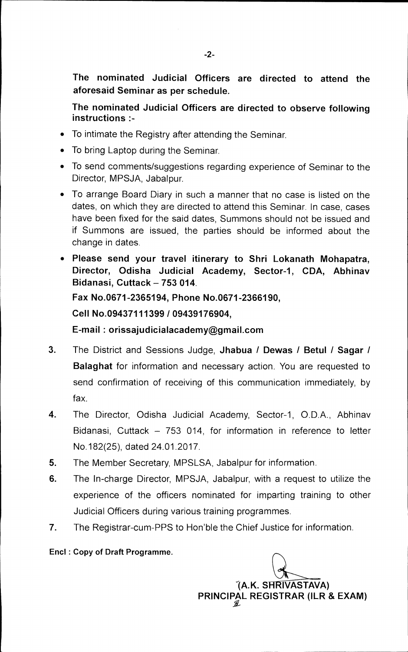**The nominated Judicial Officers are directed to attend the aforesaid Seminar as per schedule.** 

**The nominated Judicial Officers are directed to observe following instructions :-** 

- To intimate the Registry after attending the Seminar.
- To bring Laptop during the Seminar.
- To send comments/suggestions regarding experience of Seminar to the Director, MPSJA, Jabalpur.
- To arrange Board Diary in such a manner that no case is listed on the dates, on which they are directed to attend this Seminar. In case, cases have been fixed for the said dates, Summons should not be issued and if Summons are issued, the parties should be informed about the change in dates.
- **Please send your travel itinerary to Shri Lokanath Mohapatra, Director, Odisha Judicial Academy, Sector-1, CDA, Abhinav Bidanasi, Cuttack — 753 014. Fax No.0671-2365194, Phone No.0671-2366190, Cell No.09437111399 /09439176904, E-mail : orissajudicialacademy@gmail.com**
- 3. The District and Sessions Judge, **Jhabua / Dewas / Betul / Sagar / Balaghat** for information and necessary action. You are requested to send confirmation of receiving of this communication immediately, by fax.
- 4. The Director, Odisha Judicial Academy, Sector-1, 0.D.A., Abhinav Bidanasi, Cuttack — 753 014, for information in reference to letter No.182(25), dated 24.01.2017.
- 5. The Member Secretary, MPSLSA, Jabalpur for information.
- 6. The In-charge Director, MPSJA, Jabalpur, with a request to utilize the experience of the officers nominated for imparting training to other Judicial Officers during various training programmes.
- 7. The Registrar-cum-PPS to Hon'ble the Chief Justice for information.

**End l : Copy of Draft Programme.** 

*IL* 

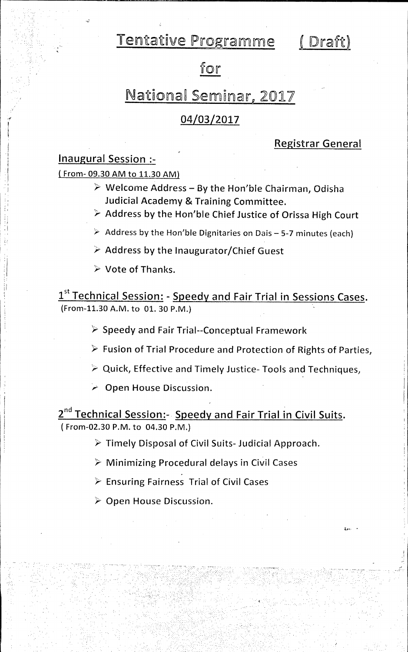Tentative Programme (Draft)

## for

## National Seminar, 2017

## 04/03/2017

### **Registrar General**

**Inaugural Session :-** 

**(** From- 09.30 AM to 11.30 AM)

- **Welcome Address By the Hon'ble Chairman, Odisha Judicial Academy & Training Committee.**
- **ps- Address by the Hon'ble Chief Justice of Orissa High Court**
- Address by the Hon'ble Dignitaries on Dais 5-7 minutes (each)
- **Address by the Inaugurator/Chief Guest**
- **Vote of Thanks.**

1<sup>st</sup> Technical Session: - Speedy and Fair Trial in Sessions Cases. (From-11.30 A.M. to 01. 30 P.M.)

- **\,=' Speedy and Fair Trial--Conceptual Framework**
- **)- Fusion of Trial Procedure and Protection of Rights of Parties,**
- **A.- Quick, Effective and Timely Justice- Tools and Techniques,**
- **Open House Discussion.**

**2nd Technical Session:- Speedy and Fair Trial in Civil Suits.**  ( From-02.30 P.M. to 04.30 P.M.)

**Timely Disposal of Civil Suits- Judicial Approach.** 

**\;- Minimizing Procedural delays in Civil Cases** 

**Ensuring Fairness Trial of Civil Cases** 

**Open House Discussion.**